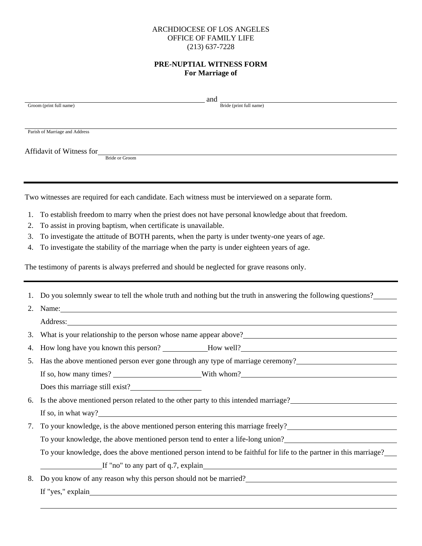## ARCHDIOCESE OF LOS ANGELES OFFICE OF FAMILY LIFE (213) 637-7228

# **PRE-NUPTIAL WITNESS FORM For Marriage of**

|             | and and a structure of the structure of the structure of the structure of the structure of the structure of th<br>Bride (print full name)                                                                                                    |  |  |  |
|-------------|----------------------------------------------------------------------------------------------------------------------------------------------------------------------------------------------------------------------------------------------|--|--|--|
|             | Groom (print full name)                                                                                                                                                                                                                      |  |  |  |
|             |                                                                                                                                                                                                                                              |  |  |  |
|             | Parish of Marriage and Address                                                                                                                                                                                                               |  |  |  |
|             | Affidavit of Witness for <b>Example of Groom</b>                                                                                                                                                                                             |  |  |  |
|             |                                                                                                                                                                                                                                              |  |  |  |
|             |                                                                                                                                                                                                                                              |  |  |  |
|             | Two witnesses are required for each candidate. Each witness must be interviewed on a separate form.                                                                                                                                          |  |  |  |
| 1.          | To establish freedom to marry when the priest does not have personal knowledge about that freedom.                                                                                                                                           |  |  |  |
| 2.          | To assist in proving baptism, when certificate is unavailable.                                                                                                                                                                               |  |  |  |
| 3.          | To investigate the attitude of BOTH parents, when the party is under twenty-one years of age.                                                                                                                                                |  |  |  |
| 4.          | To investigate the stability of the marriage when the party is under eighteen years of age.                                                                                                                                                  |  |  |  |
|             | The testimony of parents is always preferred and should be neglected for grave reasons only.                                                                                                                                                 |  |  |  |
|             |                                                                                                                                                                                                                                              |  |  |  |
| 1.          | Do you solemnly swear to tell the whole truth and nothing but the truth in answering the following questions?                                                                                                                                |  |  |  |
| Name:<br>2. |                                                                                                                                                                                                                                              |  |  |  |
|             | Address: National Address: National Address: National Address: National Address: National Address: National Address: National Address: National Address: National Address: National Address: National Address: National Addres               |  |  |  |
| 3.          | What is your relationship to the person whose name appear above?<br><u>Letting</u> above the second the person whose name appear above?<br><u>Letting</u> above the second the second the second the second the second the second the second |  |  |  |
| 4.          |                                                                                                                                                                                                                                              |  |  |  |
| 5.          | Has the above mentioned person ever gone through any type of marriage ceremony?                                                                                                                                                              |  |  |  |
|             |                                                                                                                                                                                                                                              |  |  |  |
|             | Does this marriage still exist?                                                                                                                                                                                                              |  |  |  |
|             | 6. Is the above mentioned person related to the other party to this intended marriage?                                                                                                                                                       |  |  |  |
|             |                                                                                                                                                                                                                                              |  |  |  |
| 7.          | To your knowledge, is the above mentioned person entering this marriage freely?<br>The your knowledge, is the above mentioned person entering this marriage freely?                                                                          |  |  |  |
|             | To your knowledge, the above mentioned person tend to enter a life-long union?<br>                                                                                                                                                           |  |  |  |
|             | To your knowledge, does the above mentioned person intend to be faithful for life to the partner in this marriage?                                                                                                                           |  |  |  |
|             |                                                                                                                                                                                                                                              |  |  |  |
| 8.          | Do you know of any reason why this person should not be married?                                                                                                                                                                             |  |  |  |
|             |                                                                                                                                                                                                                                              |  |  |  |
|             |                                                                                                                                                                                                                                              |  |  |  |